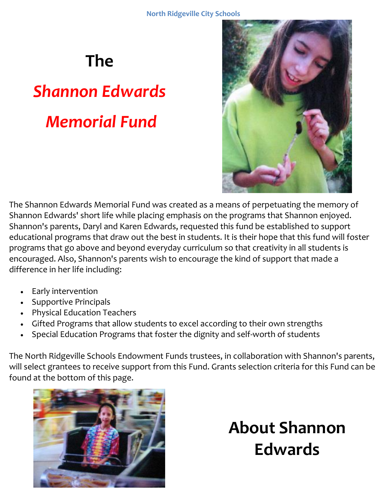#### **The**

# *Shannon Edwards Memorial Fund*



The Shannon Edwards Memorial Fund was created as a means of perpetuating the memory of Shannon Edwards' short life while placing emphasis on the programs that Shannon enjoyed. Shannon's parents, Daryl and Karen Edwards, requested this fund be established to support educational programs that draw out the best in students. It is their hope that this fund will foster programs that go above and beyond everyday curriculum so that creativity in all students is encouraged. Also, Shannon's parents wish to encourage the kind of support that made a difference in her life including:

- Early intervention
- Supportive Principals
- Physical Education Teachers
- Gifted Programs that allow students to excel according to their own strengths
- Special Education Programs that foster the dignity and self-worth of students

The North Ridgeville Schools Endowment Funds trustees, in collaboration with Shannon's parents, will select grantees to receive support from this Fund. Grants selection criteria for this Fund can be found at the bottom of this page.



### **About Shannon Edwards**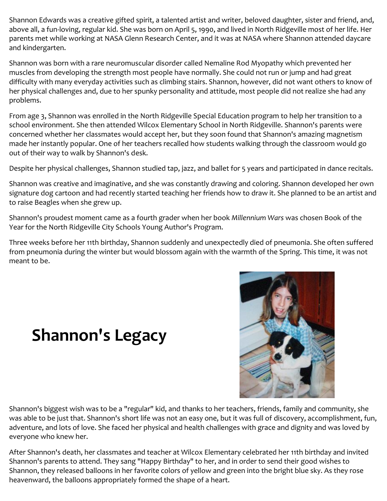Shannon Edwards was a creative gifted spirit, a talented artist and writer, beloved daughter, sister and friend, and, above all, a fun-loving, regular kid. She was born on April 5, 1990, and lived in North Ridgeville most of her life. Her parents met while working at NASA Glenn Research Center, and it was at NASA where Shannon attended daycare and kindergarten.

Shannon was born with a rare neuromuscular disorder called Nemaline Rod Myopathy which prevented her muscles from developing the strength most people have normally. She could not run or jump and had great difficulty with many everyday activities such as climbing stairs. Shannon, however, did not want others to know of her physical challenges and, due to her spunky personality and attitude, most people did not realize she had any problems.

From age 3, Shannon was enrolled in the North Ridgeville Special Education program to help her transition to a school environment. She then attended Wilcox Elementary School in North Ridgeville. Shannon's parents were concerned whether her classmates would accept her, but they soon found that Shannon's amazing magnetism made her instantly popular. One of her teachers recalled how students walking through the classroom would go out of their way to walk by Shannon's desk.

Despite her physical challenges, Shannon studied tap, jazz, and ballet for 5 years and participated in dance recitals.

Shannon was creative and imaginative, and she was constantly drawing and coloring. Shannon developed her own signature dog cartoon and had recently started teaching her friends how to draw it. She planned to be an artist and to raise Beagles when she grew up.

Shannon's proudest moment came as a fourth grader when her book *Millennium Wars* was chosen Book of the Year for the North Ridgeville City Schools Young Author's Program.

Three weeks before her 11th birthday, Shannon suddenly and unexpectedly died of pneumonia. She often suffered from pneumonia during the winter but would blossom again with the warmth of the Spring. This time, it was not meant to be.

#### **Shannon's Legacy**



Shannon's biggest wish was to be a "regular" kid, and thanks to her teachers, friends, family and community, she was able to be just that. Shannon's short life was not an easy one, but it was full of discovery, accomplishment, fun, adventure, and lots of love. She faced her physical and health challenges with grace and dignity and was loved by everyone who knew her.

After Shannon's death, her classmates and teacher at Wilcox Elementary celebrated her 11th birthday and invited Shannon's parents to attend. They sang "Happy Birthday" to her, and in order to send their good wishes to Shannon, they released balloons in her favorite colors of yellow and green into the bright blue sky. As they rose heavenward, the balloons appropriately formed the shape of a heart.